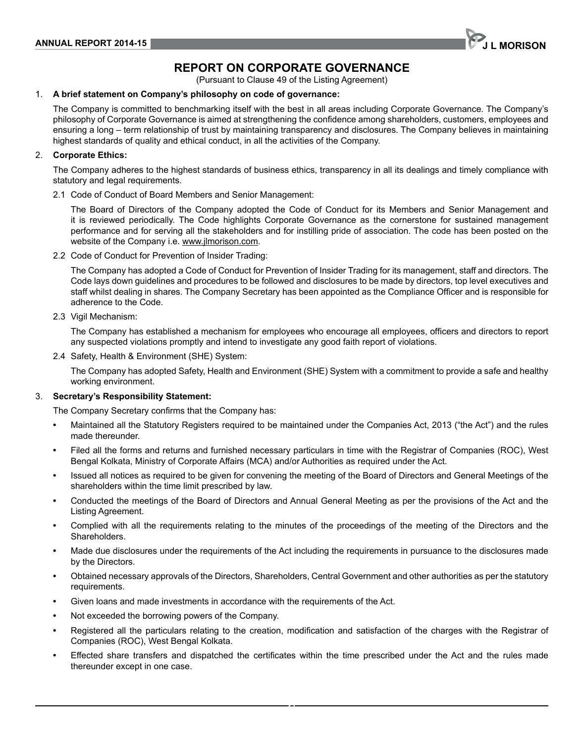# **RePoRt on CoRPoRAte GoVeRnAnCe**

(Pursuant to Clause 49 of the Listing Agreement)

### 1. **A brief statement on Company's philosophy on code of governance:**

The Company is committed to benchmarking itself with the best in all areas including Corporate Governance. The Company's philosophy of Corporate Governance is aimed at strengthening the confidence among shareholders, customers, employees and ensuring a long – term relationship of trust by maintaining transparency and disclosures. The Company believes in maintaining highest standards of quality and ethical conduct, in all the activities of the Company.

#### 2. **Corporate ethics:**

The Company adheres to the highest standards of business ethics, transparency in all its dealings and timely compliance with statutory and legal requirements.

2.1 Code of Conduct of Board Members and Senior Management:

The Board of Directors of the Company adopted the Code of Conduct for its Members and Senior Management and it is reviewed periodically. The Code highlights Corporate Governance as the cornerstone for sustained management performance and for serving all the stakeholders and for instilling pride of association. The code has been posted on the website of the Company i.e. www.jlmorison.com.

2.2 Code of Conduct for Prevention of Insider Trading:

The Company has adopted a Code of Conduct for Prevention of Insider Trading for its management, staff and directors. The Code lays down guidelines and procedures to be followed and disclosures to be made by directors, top level executives and staff whilst dealing in shares. The Company Secretary has been appointed as the Compliance Officer and is responsible for adherence to the Code.

2.3 Vigil Mechanism:

The Company has established a mechanism for employees who encourage all employees, officers and directors to report any suspected violations promptly and intend to investigate any good faith report of violations.

2.4 Safety, Health & Environment (SHE) System:

The Company has adopted Safety, Health and Environment (SHE) System with a commitment to provide a safe and healthy working environment.

#### 3. **secretary's Responsibility statement:**

The Company Secretary confirms that the Company has:

- **•** Maintained all the Statutory Registers required to be maintained under the Companies Act, 2013 ("the Act") and the rules made thereunder.
- **•** Filed all the forms and returns and furnished necessary particulars in time with the Registrar of Companies (ROC), West Bengal Kolkata, Ministry of Corporate Affairs (MCA) and/or Authorities as required under the Act.
- **•** Issued all notices as required to be given for convening the meeting of the Board of Directors and General Meetings of the shareholders within the time limit prescribed by law.
- **•** Conducted the meetings of the Board of Directors and Annual General Meeting as per the provisions of the Act and the Listing Agreement.
- **•** Complied with all the requirements relating to the minutes of the proceedings of the meeting of the Directors and the Shareholders.
- **•** Made due disclosures under the requirements of the Act including the requirements in pursuance to the disclosures made by the Directors.
- **•** Obtained necessary approvals of the Directors, Shareholders, Central Government and other authorities as per the statutory requirements.
- **•** Given loans and made investments in accordance with the requirements of the Act.
- **•** Not exceeded the borrowing powers of the Company.
- **•** Registered all the particulars relating to the creation, modification and satisfaction of the charges with the Registrar of Companies (ROC), west Bengal Kolkata.
- **•** Effected share transfers and dispatched the certificates within the time prescribed under the Act and the rules made thereunder except in one case.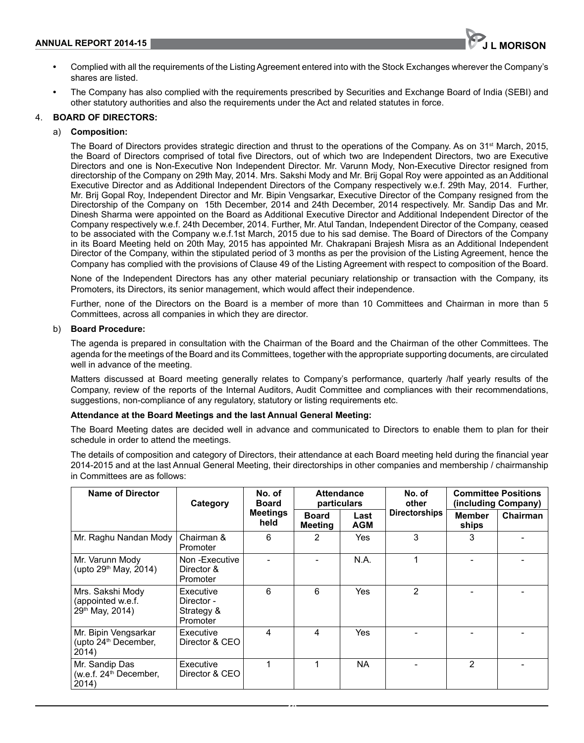

- **•** Complied with all the requirements of the Listing Agreement entered into with the Stock Exchanges wherever the Company's shares are listed.
- **•** The Company has also complied with the requirements prescribed by Securities and Exchange Board of India (SEBI) and other statutory authorities and also the requirements under the Act and related statutes in force.

#### 4. **BoARD oF DIReCtoRs:**

#### a) **Composition:**

The Board of Directors provides strategic direction and thrust to the operations of the Company. As on 31<sup>st</sup> March, 2015, the Board of Directors comprised of total five Directors, out of which two are Independent Directors, two are Executive Directors and one is Non-Executive Non Independent Director. Mr. Varunn Mody, Non-Executive Director resigned from directorship of the Company on 29th May, 2014. Mrs. Sakshi Mody and Mr. Brij Gopal Roy were appointed as an Additional Executive Director and as Additional Independent Directors of the Company respectively w.e.f. 29th May, 2014. Further, Mr. Brij Gopal Roy, Independent Director and Mr. Bipin Vengsarkar, Executive Director of the Company resigned from the Directorship of the Company on 15th December, 2014 and 24th December, 2014 respectively. Mr. Sandip Das and Mr. Dinesh Sharma were appointed on the Board as Additional Executive Director and Additional Independent Director of the Company respectively w.e.f. 24th December, 2014. Further, Mr. Atul Tandan, Independent Director of the Company, ceased to be associated with the Company w.e.f.1st March, 2015 due to his sad demise. The Board of Directors of the Company in its Board Meeting held on 20th May, 2015 has appointed Mr. Chakrapani Brajesh Misra as an Additional Independent Director of the Company, within the stipulated period of 3 months as per the provision of the Listing Agreement, hence the Company has complied with the provisions of Clause 49 of the Listing Agreement with respect to composition of the Board.

None of the Independent Directors has any other material pecuniary relationship or transaction with the Company, its Promoters, its Directors, its senior management, which would affect their independence.

Further, none of the Directors on the Board is a member of more than 10 Committees and Chairman in more than 5 Committees, across all companies in which they are director.

#### b) **Board Procedure:**

The agenda is prepared in consultation with the Chairman of the Board and the Chairman of the other Committees. The agenda for the meetings of the Board and its Committees, together with the appropriate supporting documents, are circulated well in advance of the meeting.

Matters discussed at Board meeting generally relates to Company's performance, quarterly /half yearly results of the Company, review of the reports of the Internal Auditors, Audit Committee and compliances with their recommendations, suggestions, non-compliance of any regulatory, statutory or listing requirements etc.

#### **Attendance at the Board Meetings and the last Annual General Meeting:**

The Board Meeting dates are decided well in advance and communicated to Directors to enable them to plan for their schedule in order to attend the meetings.

The details of composition and category of Directors, their attendance at each Board meeting held during the financial year 2014-2015 and at the last Annual General Meeting, their directorships in other companies and membership / chairmanship in Committees are as follows:

| Name of Director                                                  | Category                                                 | No. of<br><b>Board</b>  | <b>Attendance</b><br>particulars |                    | No. of<br>other      |                        | <b>Committee Positions</b><br>(including Company) |
|-------------------------------------------------------------------|----------------------------------------------------------|-------------------------|----------------------------------|--------------------|----------------------|------------------------|---------------------------------------------------|
|                                                                   |                                                          | <b>Meetings</b><br>held | <b>Board</b><br>Meetina          | Last<br><b>AGM</b> | <b>Directorships</b> | <b>Member</b><br>ships | Chairman                                          |
| Mr. Raghu Nandan Mody                                             | Chairman &<br>Promoter                                   | 6                       | 2                                | Yes                | 3                    | 3                      |                                                   |
| Mr. Varunn Mody<br>(upto 29 <sup>th</sup> May, 2014)              | Non-Executive<br>Director &<br>Promoter                  |                         |                                  | N.A.               |                      |                        |                                                   |
| Mrs. Sakshi Mody<br>(appointed w.e.f.<br>29th May, 2014)          | <b>Executive</b><br>Director -<br>Strategy &<br>Promoter | 6                       | 6                                | <b>Yes</b>         | 2                    |                        |                                                   |
| Mr. Bipin Vengsarkar<br>(upto 24 <sup>th</sup> December,<br>2014) | Executive<br>Director & CEO                              | 4                       | 4                                | Yes                |                      |                        |                                                   |
| Mr. Sandip Das<br>(w.e.f. 24 <sup>th</sup> December,<br>2014)     | Executive<br>Director & CEO                              | 1                       | 1                                | <b>NA</b>          |                      | 2                      |                                                   |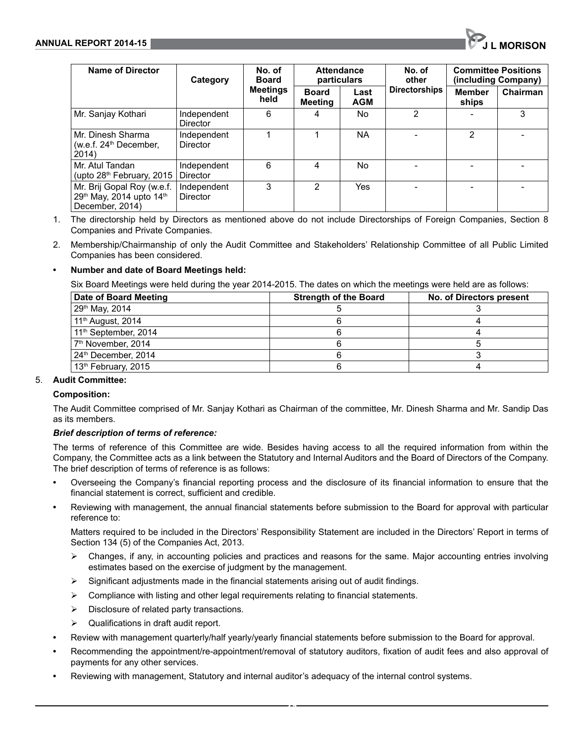| Name of Director                                                          | Category                       | No. of<br><b>Board</b>  | <b>Attendance</b><br>particulars |                    |                      |                        | No. of<br>other |  | <b>Committee Positions</b><br>(including Company) |
|---------------------------------------------------------------------------|--------------------------------|-------------------------|----------------------------------|--------------------|----------------------|------------------------|-----------------|--|---------------------------------------------------|
|                                                                           |                                | <b>Meetings</b><br>held | <b>Board</b><br><b>Meeting</b>   | Last<br><b>AGM</b> | <b>Directorships</b> | <b>Member</b><br>ships | Chairman        |  |                                                   |
| Mr. Sanjay Kothari                                                        | Independent<br>Director        | 6                       | 4                                | No.                | 2                    |                        | 3               |  |                                                   |
| Mr. Dinesh Sharma<br>(w.e.f. $24th$ December,<br>2014)                    | Independent<br>Director        |                         |                                  | <b>NA</b>          |                      | 2                      |                 |  |                                                   |
| Mr. Atul Tandan<br>(upto 28 <sup>th</sup> February, 2015                  | Independent<br><b>Director</b> | 6                       | 4                                | No.                |                      |                        |                 |  |                                                   |
| Mr. Brij Gopal Roy (w.e.f.<br>29th May, 2014 upto 14th<br>December, 2014) | Independent<br>Director        | 3                       | 2                                | Yes                |                      |                        |                 |  |                                                   |

- 1. The directorship held by Directors as mentioned above do not include Directorships of Foreign Companies, Section 8 Companies and Private Companies.
- 2. Membership/Chairmanship of only the Audit Committee and Stakeholders' Relationship Committee of all Public Limited Companies has been considered.

## **• Number and date of Board Meetings held:**

Six Board Meetings were held during the year 2014-2015. The dates on which the meetings were held are as follows:

| Date of Board Meeting            | <b>Strength of the Board</b> | No. of Directors present |
|----------------------------------|------------------------------|--------------------------|
| 29 <sup>th</sup> May, 2014       |                              |                          |
| 11 <sup>th</sup> August, 2014    |                              |                          |
| 11 <sup>th</sup> September, 2014 |                              |                          |
| 7 <sup>th</sup> November, 2014   |                              |                          |
| 24th December, 2014              |                              |                          |
| 13 <sup>th</sup> February, 2015  |                              |                          |

## 5. **Audit Committee:**

#### **Composition:**

The Audit Committee comprised of Mr. Sanjay Kothari as Chairman of the committee, Mr. Dinesh Sharma and Mr. Sandip Das as its members.

#### *Brief description of terms of reference:*

The terms of reference of this Committee are wide. Besides having access to all the required information from within the Company, the Committee acts as a link between the Statutory and Internal Auditors and the Board of Directors of the Company. The brief description of terms of reference is as follows:

- **•** Overseeing the Company's financial reporting process and the disclosure of its financial information to ensure that the financial statement is correct, sufficient and credible.
- **•** Reviewing with management, the annual financial statements before submission to the Board for approval with particular reference to:

Matters required to be included in the Directors' Responsibility Statement are included in the Directors' Report in terms of Section 134 (5) of the Companies Act, 2013.

- $\triangleright$  Changes, if any, in accounting policies and practices and reasons for the same. Major accounting entries involving estimates based on the exercise of judgment by the management.
- $\triangleright$  Significant adjustments made in the financial statements arising out of audit findings.
- $\triangleright$  Compliance with listing and other legal requirements relating to financial statements.
- $\triangleright$  Disclosure of related party transactions.
- Qualifications in draft audit report.
- **•** Review with management quarterly/half yearly/yearly financial statements before submission to the Board for approval.

- **•** Recommending the appointment/re-appointment/removal of statutory auditors, fixation of audit fees and also approval of payments for any other services.
- **•** Reviewing with management, Statutory and internal auditor's adequacy of the internal control systems.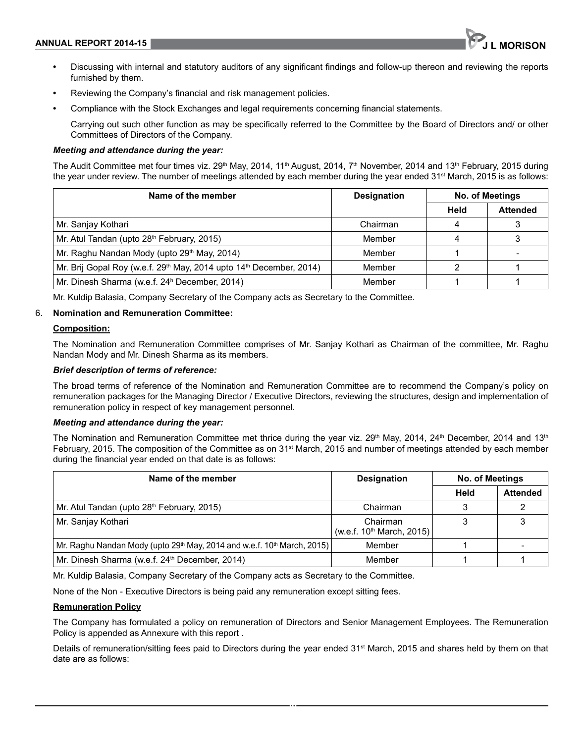

- **•** Discussing with internal and statutory auditors of any significant findings and follow-up thereon and reviewing the reports furnished by them.
- **•** Reviewing the Company's financial and risk management policies.
- **•** Compliance with the Stock Exchanges and legal requirements concerning financial statements.

Carrying out such other function as may be specifically referred to the Committee by the Board of Directors and/ or other Committees of Directors of the Company.

#### *Meeting and attendance during the year:*

The Audit Committee met four times viz.  $29th$  May, 2014, 11<sup>th</sup> August, 2014, 7<sup>th</sup> November, 2014 and 13<sup>th</sup> February, 2015 during the year under review. The number of meetings attended by each member during the year ended 31<sup>st</sup> March, 2015 is as follows:

| Name of the member                                                                          | <b>Designation</b> | <b>No. of Meetings</b> |                 |  |
|---------------------------------------------------------------------------------------------|--------------------|------------------------|-----------------|--|
|                                                                                             |                    | Held                   | <b>Attended</b> |  |
| Mr. Sanjay Kothari                                                                          | Chairman           |                        |                 |  |
| Mr. Atul Tandan (upto 28 <sup>th</sup> February, 2015)                                      | Member             |                        |                 |  |
| Mr. Raghu Nandan Mody (upto 29 <sup>th</sup> May, 2014)                                     | Member             |                        |                 |  |
| Mr. Brij Gopal Roy (w.e.f. 29 <sup>th</sup> May, 2014 upto 14 <sup>th</sup> December, 2014) | Member             |                        |                 |  |
| Mr. Dinesh Sharma (w.e.f. 24 <sup>h</sup> December, 2014)                                   | Member             |                        |                 |  |

Mr. Kuldip Balasia, Company Secretary of the Company acts as Secretary to the Committee.

#### 6. **nomination and Remuneration Committee:**

#### **Composition:**

The Nomination and Remuneration Committee comprises of Mr. Sanjay Kothari as Chairman of the committee, Mr. Raghu Nandan Mody and Mr. Dinesh Sharma as its members.

#### *Brief description of terms of reference:*

The broad terms of reference of the Nomination and Remuneration Committee are to recommend the Company's policy on remuneration packages for the Managing Director / Executive Directors, reviewing the structures, design and implementation of remuneration policy in respect of key management personnel.

#### *Meeting and attendance during the year:*

The Nomination and Remuneration Committee met thrice during the year viz.  $29<sup>th</sup>$  May, 2014, 24<sup>th</sup> December, 2014 and 13<sup>th</sup> February, 2015. The composition of the Committee as on 31<sup>st</sup> March, 2015 and number of meetings attended by each member during the financial year ended on that date is as follows:

| Name of the member                                                                              | <b>Designation</b>                                | <b>No. of Meetings</b> |                 |
|-------------------------------------------------------------------------------------------------|---------------------------------------------------|------------------------|-----------------|
|                                                                                                 |                                                   | Held                   | <b>Attended</b> |
| Mr. Atul Tandan (upto 28 <sup>th</sup> February, 2015)                                          | Chairman                                          |                        |                 |
| Mr. Sanjay Kothari                                                                              | Chairman<br>(w.e.f. 10 <sup>th</sup> March, 2015) |                        |                 |
| Mr. Raghu Nandan Mody (upto 29 <sup>th</sup> May, 2014 and w.e.f. 10 <sup>th</sup> March, 2015) | Member                                            |                        |                 |
| Mr. Dinesh Sharma (w.e.f. 24 <sup>th</sup> December, 2014)                                      | Member                                            |                        |                 |

Mr. Kuldip Balasia, Company Secretary of the Company acts as Secretary to the Committee.

None of the Non - Executive Directors is being paid any remuneration except sitting fees.

#### **Remuneration Policy**

The Company has formulated a policy on remuneration of Directors and Senior Management Employees. The Remuneration Policy is appended as Annexure with this report .

Details of remuneration/sitting fees paid to Directors during the year ended 31st March, 2015 and shares held by them on that date are as follows: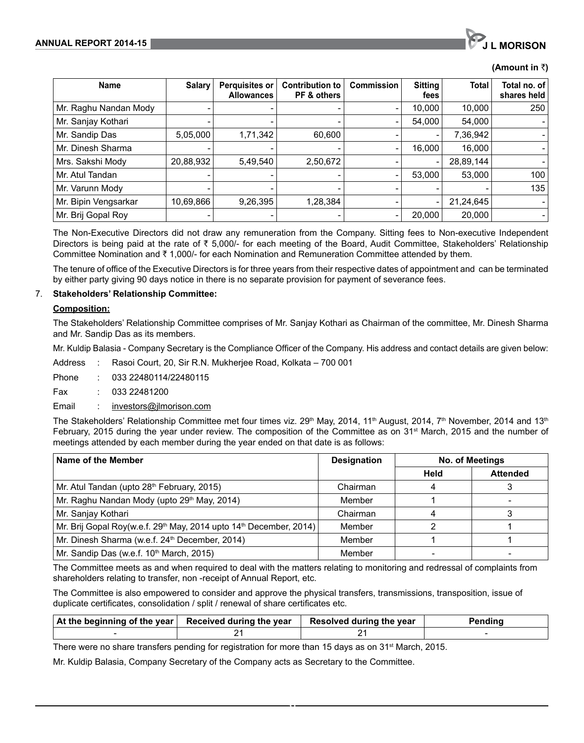# **(Amount in** `**)**

| <b>Name</b>           | <b>Salary</b> | <b>Perquisites or</b><br><b>Allowances</b> | Contribution to<br>PF & others | <b>Commission</b>        | <b>Sitting</b><br>fees | <b>Total</b> | Total no. of l<br>shares held |
|-----------------------|---------------|--------------------------------------------|--------------------------------|--------------------------|------------------------|--------------|-------------------------------|
| Mr. Raghu Nandan Mody |               |                                            |                                | $\overline{\phantom{0}}$ | 10.000                 | 10,000       | 250                           |
| Mr. Sanjay Kothari    |               |                                            |                                | $\overline{\phantom{0}}$ | 54,000                 | 54,000       |                               |
| Mr. Sandip Das        | 5,05,000      | 1,71,342                                   | 60,600                         |                          |                        | 7,36,942     |                               |
| Mr. Dinesh Sharma     |               |                                            |                                |                          | 16,000                 | 16,000       |                               |
| Mrs. Sakshi Mody      | 20,88,932     | 5,49,540                                   | 2,50,672                       |                          |                        | 28,89,144    |                               |
| Mr. Atul Tandan       |               |                                            |                                | $\overline{\phantom{0}}$ | 53,000                 | 53,000       | 100                           |
| Mr. Varunn Mody       |               |                                            |                                |                          |                        |              | 135                           |
| Mr. Bipin Vengsarkar  | 10,69,866     | 9,26,395                                   | 1,28,384                       |                          |                        | 21,24,645    |                               |
| Mr. Brij Gopal Roy    |               |                                            |                                |                          | 20,000                 | 20,000       |                               |

The Non-Executive Directors did not draw any remuneration from the Company. Sitting fees to Non-executive Independent Directors is being paid at the rate of  $\bar{\tau}$  5,000/- for each meeting of the Board, Audit Committee, Stakeholders' Relationship Committee Nomination and  $\bar{\tau}$  1,000/- for each Nomination and Remuneration Committee attended by them.

The tenure of office of the Executive Directors is for three years from their respective dates of appointment and can be terminated by either party giving 90 days notice in there is no separate provision for payment of severance fees.

#### 7. **stakeholders' Relationship Committee:**

#### **Composition:**

The Stakeholders' Relationship Committee comprises of Mr. Sanjay Kothari as Chairman of the committee, Mr. Dinesh Sharma and Mr. Sandip Das as its members.

Mr. Kuldip Balasia - Company Secretary is the Compliance Officer of the Company. His address and contact details are given below:

Address : Rasoi Court, 20, Sir R.N. Mukherjee Road, Kolkata – 700 001

Phone : 033 22480114/22480115

Fax : 033 22481200

Email : investors@jlmorison.com

The Stakeholders' Relationship Committee met four times viz. 29<sup>th</sup> May, 2014, 11<sup>th</sup> August, 2014, 7<sup>th</sup> November, 2014 and 13<sup>th</sup> February, 2015 during the year under review. The composition of the Committee as on 31<sup>st</sup> March, 2015 and the number of meetings attended by each member during the year ended on that date is as follows:

| Name of the Member                                                                         | <b>Designation</b> | <b>No. of Meetings</b> |                 |  |
|--------------------------------------------------------------------------------------------|--------------------|------------------------|-----------------|--|
|                                                                                            |                    | Held                   | <b>Attended</b> |  |
| Mr. Atul Tandan (upto 28 <sup>th</sup> February, 2015)                                     | Chairman           |                        |                 |  |
| Mr. Raghu Nandan Mody (upto 29th May, 2014)                                                | Member             |                        |                 |  |
| Mr. Sanjay Kothari                                                                         | Chairman           |                        |                 |  |
| Mr. Brij Gopal Roy(w.e.f. 29 <sup>th</sup> May, 2014 upto 14 <sup>th</sup> December, 2014) | Member             |                        |                 |  |
| Mr. Dinesh Sharma (w.e.f. 24 <sup>th</sup> December, 2014)                                 | Member             |                        |                 |  |
| Mr. Sandip Das (w.e.f. 10th March, 2015)                                                   | Member             |                        |                 |  |

The Committee meets as and when required to deal with the matters relating to monitoring and redressal of complaints from shareholders relating to transfer, non -receipt of Annual Report, etc.

The Committee is also empowered to consider and approve the physical transfers, transmissions, transposition, issue of duplicate certificates, consolidation / split / renewal of share certificates etc.

| $\vert$ At the beginning of the year $\vert$ Received during the year | Resolved during the year | Pendina |
|-----------------------------------------------------------------------|--------------------------|---------|
|                                                                       |                          |         |

**31**

There were no share transfers pending for registration for more than 15 days as on 31<sup>st</sup> March, 2015.

Mr. Kuldip Balasia, Company Secretary of the Company acts as Secretary to the Committee.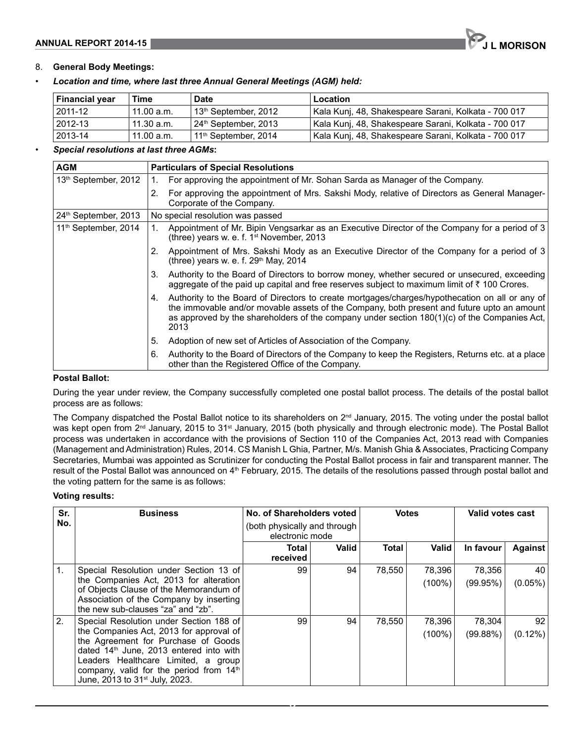# **ANNUAL REPORT 2014-15 Julie 2014-15 Julie 2014-15**

# 8. **General Body Meetings:**

• *Location and time, where last three Annual General Meetings (AGM) held:*

| Financial year | Time       | <b>Date</b>                                   | Location                                             |
|----------------|------------|-----------------------------------------------|------------------------------------------------------|
| 2011-12        | 11.00 a.m. | 13 <sup>th</sup> September, 2012              | Kala Kunj, 48, Shakespeare Sarani, Kolkata - 700 017 |
| 2012-13        | 11.30 a.m. | <sup>1</sup> 24 <sup>th</sup> September, 2013 | Kala Kunj, 48, Shakespeare Sarani, Kolkata - 700 017 |
| 2013-14        | 11.00 a.m. | 11 <sup>th</sup> September, 2014              | Kala Kunj, 48, Shakespeare Sarani, Kolkata - 700 017 |

#### • *Special resolutions at last three AGMs***:**

| <b>AGM</b>                       | <b>Particulars of Special Resolutions</b>                                                                                                                                                                                                                                                                    |
|----------------------------------|--------------------------------------------------------------------------------------------------------------------------------------------------------------------------------------------------------------------------------------------------------------------------------------------------------------|
| 13 <sup>th</sup> September, 2012 | For approving the appointment of Mr. Sohan Sarda as Manager of the Company.                                                                                                                                                                                                                                  |
|                                  | For approving the appointment of Mrs. Sakshi Mody, relative of Directors as General Manager-<br>2.<br>Corporate of the Company.                                                                                                                                                                              |
| 24 <sup>th</sup> September, 2013 | No special resolution was passed                                                                                                                                                                                                                                                                             |
| 11 <sup>th</sup> September, 2014 | Appointment of Mr. Bipin Vengsarkar as an Executive Director of the Company for a period of 3<br>(three) years w. e. f. $1st$ November, 2013                                                                                                                                                                 |
|                                  | Appointment of Mrs. Sakshi Mody as an Executive Director of the Company for a period of 3<br>2.<br>(three) years w. e. f. $29th$ May, 2014                                                                                                                                                                   |
|                                  | Authority to the Board of Directors to borrow money, whether secured or unsecured, exceeding<br>3.<br>aggregate of the paid up capital and free reserves subject to maximum limit of $\bar{\tau}$ 100 Crores.                                                                                                |
|                                  | Authority to the Board of Directors to create mortgages/charges/hypothecation on all or any of<br>4.<br>the immovable and/or movable assets of the Company, both present and future upto an amount<br>as approved by the shareholders of the company under section $180(1)(c)$ of the Companies Act,<br>2013 |
|                                  | 5.<br>Adoption of new set of Articles of Association of the Company.                                                                                                                                                                                                                                         |
|                                  | Authority to the Board of Directors of the Company to keep the Registers, Returns etc. at a place<br>6.<br>other than the Registered Office of the Company.                                                                                                                                                  |

# **Postal Ballot:**

During the year under review, the Company successfully completed one postal ballot process. The details of the postal ballot process are as follows:

The Company dispatched the Postal Ballot notice to its shareholders on  $2<sup>nd</sup>$  January, 2015. The voting under the postal ballot was kept open from 2<sup>nd</sup> January, 2015 to 31<sup>st</sup> January, 2015 (both physically and through electronic mode). The Postal Ballot process was undertaken in accordance with the provisions of Section 110 of the Companies Act, 2013 read with Companies (Management and Administration) Rules, 2014. CS Manish L Ghia, Partner, M/s. Manish Ghia & Associates, Practicing Company Secretaries, Mumbai was appointed as Scrutinizer for conducting the Postal Ballot process in fair and transparent manner. The result of the Postal Ballot was announced on 4<sup>th</sup> February, 2015. The details of the resolutions passed through postal ballot and the voting pattern for the same is as follows:

# **Voting results:**

| Sr.            | <b>Business</b>                                                                                                                                                                                                                                                                                                  | No. of Shareholders voted                       |              | <b>Votes</b> |                     | Valid votes cast   |                  |
|----------------|------------------------------------------------------------------------------------------------------------------------------------------------------------------------------------------------------------------------------------------------------------------------------------------------------------------|-------------------------------------------------|--------------|--------------|---------------------|--------------------|------------------|
| No.            |                                                                                                                                                                                                                                                                                                                  | (both physically and through<br>electronic mode |              |              |                     |                    |                  |
|                |                                                                                                                                                                                                                                                                                                                  | <b>Total</b><br>received                        | <b>Valid</b> | <b>Total</b> | <b>Valid</b>        | In favour          | <b>Against</b>   |
| $\mathbf{1}$ . | Special Resolution under Section 13 of<br>the Companies Act, 2013 for alteration<br>of Objects Clause of the Memorandum of<br>Association of the Company by inserting<br>the new sub-clauses "za" and "zb".                                                                                                      | 99                                              | 94           | 78,550       | 78,396<br>$(100\%)$ | 78,356<br>(99.95%) | 40<br>$(0.05\%)$ |
| 2.             | Special Resolution under Section 188 of<br>the Companies Act, 2013 for approval of<br>the Agreement for Purchase of Goods<br>dated 14 <sup>th</sup> June, 2013 entered into with<br>Leaders Healthcare Limited, a group<br>company, valid for the period from 14th<br>June, 2013 to 31 <sup>st</sup> July, 2023. | 99                                              | 94           | 78.550       | 78,396<br>$(100\%)$ | 78,304<br>(99.88%) | 92<br>$(0.12\%)$ |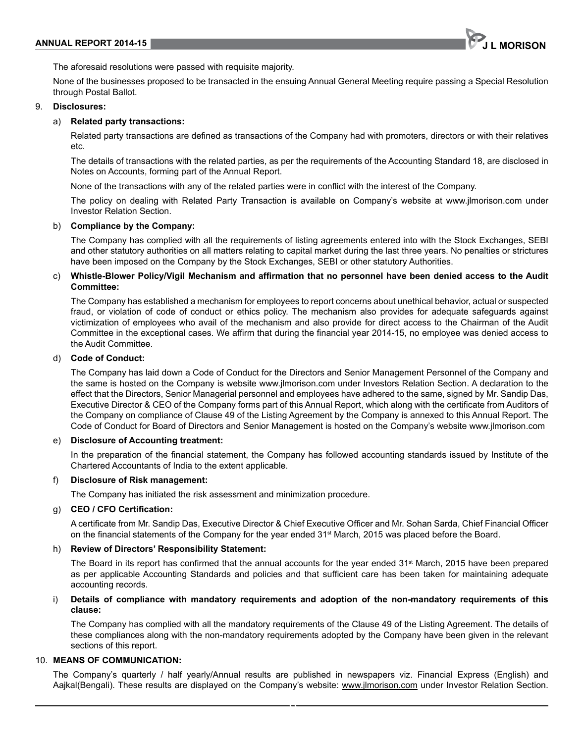

The aforesaid resolutions were passed with requisite majority.

None of the businesses proposed to be transacted in the ensuing Annual General Meeting require passing a Special Resolution through Postal Ballot.

#### 9. **Disclosures:**

#### a) **Related party transactions:**

Related party transactions are defined as transactions of the Company had with promoters, directors or with their relatives etc.

The details of transactions with the related parties, as per the requirements of the Accounting Standard 18, are disclosed in Notes on Accounts, forming part of the Annual Report.

None of the transactions with any of the related parties were in conflict with the interest of the Company.

The policy on dealing with Related Party Transaction is available on Company's website at www.jlmorison.com under Investor Relation Section.

#### b) **Compliance by the Company:**

The Company has complied with all the requirements of listing agreements entered into with the Stock Exchanges, SEBI and other statutory authorities on all matters relating to capital market during the last three years. No penalties or strictures have been imposed on the Company by the Stock Exchanges, SEBI or other statutory Authorities.

#### c) **Whistle-Blower Policy/Vigil Mechanism and affirmation that no personnel have been denied access to the Audit Committee:**

The Company has established a mechanism for employees to report concerns about unethical behavior, actual or suspected fraud, or violation of code of conduct or ethics policy. The mechanism also provides for adequate safeguards against victimization of employees who avail of the mechanism and also provide for direct access to the Chairman of the Audit Committee in the exceptional cases. we affirm that during the financial year 2014-15, no employee was denied access to the Audit Committee.

#### d) **Code of Conduct:**

The Company has laid down a Code of Conduct for the Directors and Senior Management Personnel of the Company and the same is hosted on the Company is website www.jlmorison.com under Investors Relation Section. A declaration to the effect that the Directors, Senior Managerial personnel and employees have adhered to the same, signed by Mr. Sandip Das, Executive Director & CEO of the Company forms part of this Annual Report, which along with the certificate from Auditors of the Company on compliance of Clause 49 of the Listing Agreement by the Company is annexed to this Annual Report. The Code of Conduct for Board of Directors and Senior Management is hosted on the Company's website www.jlmorison.com

#### e) **Disclosure of Accounting treatment:**

In the preparation of the financial statement, the Company has followed accounting standards issued by Institute of the Chartered Accountants of India to the extent applicable.

#### f) **Disclosure of Risk management:**

The Company has initiated the risk assessment and minimization procedure.

## g) **CEO / CFO Certification:**

A certificate from Mr. Sandip Das, Executive Director & Chief Executive Officer and Mr. Sohan Sarda, Chief Financial Officer on the financial statements of the Company for the year ended 31<sup>st</sup> March, 2015 was placed before the Board.

#### h) **Review of Directors' Responsibility statement:**

The Board in its report has confirmed that the annual accounts for the year ended 31<sup>st</sup> March, 2015 have been prepared as per applicable Accounting Standards and policies and that sufficient care has been taken for maintaining adequate accounting records.

#### Details of compliance with mandatory requirements and adoption of the non-mandatory requirements of this **clause:**

The Company has complied with all the mandatory requirements of the Clause 49 of the Listing Agreement. The details of these compliances along with the non-mandatory requirements adopted by the Company have been given in the relevant sections of this report.

#### 10. **MeAns oF CoMMUnICAtIon:**

The Company's quarterly / half yearly/Annual results are published in newspapers viz. Financial Express (English) and Aajkal(Bengali). These results are displayed on the Company's website: www.jlmorison.com under Investor Relation Section.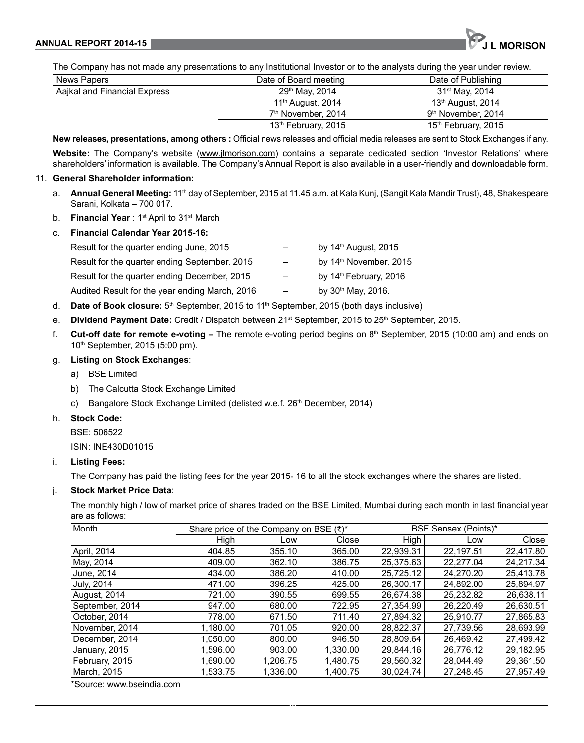The Company has not made any presentations to any Institutional Investor or to the analysts during the year under review.

| News Papers                  | Date of Board meeting           | Date of Publishing              |
|------------------------------|---------------------------------|---------------------------------|
| Aajkal and Financial Express | 29th May, 2014                  | 31 <sup>st</sup> May, 2014      |
|                              | 11 <sup>th</sup> August, 2014   | 13 <sup>th</sup> August, 2014   |
|                              | 7 <sup>th</sup> November, 2014  | 9 <sup>th</sup> November, 2014  |
|                              | 13 <sup>th</sup> February, 2015 | 15 <sup>th</sup> February, 2015 |

**new releases, presentations, among others :** Official news releases and official media releases are sent to Stock Exchanges if any. **Website:** The Company's website (www.jlmorison.com) contains a separate dedicated section 'Investor Relations' where shareholders' information is available. The Company's Annual Report is also available in a user-friendly and downloadable form.

#### 11. **General shareholder information:**

- a. **Annual General Meeting:** 11<sup>th</sup> day of September, 2015 at 11.45 a.m. at Kala Kunj, (Sangit Kala Mandir Trust), 48, Shakespeare Sarani, Kolkata – 700 017.
- b. **Financial Year** : 1st April to 31st March
- c. **Financial Calendar Year 2015-16:**

| Result for the quarter ending June, 2015       |                          | by $14th$ August, 2015             |
|------------------------------------------------|--------------------------|------------------------------------|
| Result for the quarter ending September, 2015  | $\overline{\phantom{m}}$ | by 14 <sup>th</sup> November, 2015 |
| Result for the quarter ending December, 2015   | $\overline{\phantom{m}}$ | by 14 <sup>th</sup> February, 2016 |
| Audited Result for the year ending March, 2016 | $\overline{\phantom{m}}$ | by $30th$ May, 2016.               |
|                                                |                          |                                    |

- d. **Date of Book closure:** 5<sup>th</sup> September, 2015 to 11<sup>th</sup> September, 2015 (both days inclusive)
- e. **Dividend Payment Date:** Credit / Dispatch between 21<sup>st</sup> September, 2015 to 25<sup>th</sup> September, 2015.
- f. **Cut-off date for remote e-voting** The remote e-voting period begins on 8th September, 2015 (10:00 am) and ends on 10<sup>th</sup> September, 2015 (5:00 pm).

# g. **Listing on stock exchanges**:

- a) BSE Limited
- b) The Calcutta Stock Exchange Limited
- c) Bangalore Stock Exchange Limited (delisted w.e.f. 26<sup>th</sup> December, 2014)
- h. **stock Code:**

BSE: 506522

ISIN: INE430D01015

## i. **Listing Fees:**

The Company has paid the listing fees for the year 2015- 16 to all the stock exchanges where the shares are listed.

# j. **stock Market Price Data**:

The monthly high / low of market price of shares traded on the BSE Limited, Mumbai during each month in last financial year are as follows:

| Month           | Share price of the Company on BSE (₹)* |          |          | <b>BSE Sensex (Points)*</b> |           |           |
|-----------------|----------------------------------------|----------|----------|-----------------------------|-----------|-----------|
|                 | High                                   | Low      | Close    | High                        | Low       | Close     |
| April, 2014     | 404.85                                 | 355.10   | 365.00   | 22.939.31                   | 22.197.51 | 22,417.80 |
| May, 2014       | 409.00                                 | 362.10   | 386.75   | 25.375.63                   | 22.277.04 | 24.217.34 |
| June, 2014      | 434.00                                 | 386.20   | 410.00   | 25,725.12                   | 24.270.20 | 25.413.78 |
| July, 2014      | 471.00                                 | 396.25   | 425.00   | 26,300.17                   | 24,892.00 | 25,894.97 |
| August, 2014    | 721.00                                 | 390.55   | 699.55   | 26,674.38                   | 25,232.82 | 26,638.11 |
| September, 2014 | 947.00                                 | 680.00   | 722.95   | 27.354.99                   | 26.220.49 | 26.630.51 |
| October, 2014   | 778.00                                 | 671.50   | 711.40   | 27.894.32                   | 25.910.77 | 27,865.83 |
| November, 2014  | 1.180.00                               | 701.05   | 920.00   | 28.822.37                   | 27.739.56 | 28,693.99 |
| December, 2014  | 1.050.00                               | 800.00   | 946.50   | 28.809.64                   | 26.469.42 | 27.499.42 |
| January, 2015   | 1.596.00                               | 903.00   | 1.330.00 | 29.844.16                   | 26.776.12 | 29,182.95 |
| February, 2015  | 1.690.00                               | 1.206.75 | 1.480.75 | 29,560.32                   | 28,044.49 | 29,361.50 |
| March, 2015     | 1,533.75                               | 1,336.00 | 1,400.75 | 30.024.74                   | 27.248.45 | 27,957.49 |

**34**

\*Source: www.bseindia.com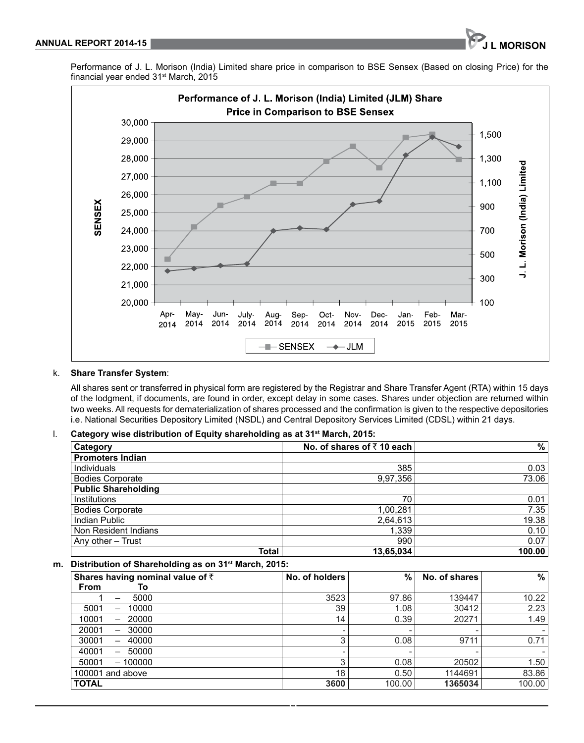Performance of J. L. Morison (India) Limited share price in comparison to BSE Sensex (Based on closing Price) for the financial year ended 31st March, 2015



#### k. **Share Transfer System:**

All shares sent or transferred in physical form are registered by the Registrar and Share Transfer Agent (RTA) within 15 days of the lodgment, if documents, are found in order, except delay in some cases. Shares under objection are returned within two weeks. All requests for dematerialization of shares processed and the confirmation is given to the respective depositories i.e. National Securities Depository Limited (NSDL) and Central Depository Services Limited (CDSL) within 21 days.

### l. **Category wise distribution of equity shareholding as at 31st March, 2015:**

| Category                   | No. of shares of $\bar{\tau}$ 10 each | %      |
|----------------------------|---------------------------------------|--------|
| <b>Promoters Indian</b>    |                                       |        |
| Individuals                | 385                                   | 0.03   |
| <b>Bodies Corporate</b>    | 9,97,356                              | 73.06  |
| <b>Public Shareholding</b> |                                       |        |
| Institutions               | 70                                    | 0.01   |
| <b>Bodies Corporate</b>    | 1,00,281                              | 7.35   |
| Indian Public              | 2,64,613                              | 19.38  |
| Non Resident Indians       | 1,339                                 | 0.10   |
| Any other - Trust          | 990                                   | 0.07   |
| Total                      | 13,65,034                             | 100.00 |

#### **m. Distribution of shareholding as on 31st March, 2015:**

| Shares having nominal value of $\bar{z}$<br>From<br>Τo | No. of holders           | %      | No. of shares | %                        |
|--------------------------------------------------------|--------------------------|--------|---------------|--------------------------|
| 5000<br>-                                              | 3523                     | 97.86  | 139447        | 10.22                    |
| 5001<br>10000<br>—                                     | 39                       | 1.08   | 30412         | 2.23                     |
| 10001<br>20000<br>—                                    | 14                       | 0.39   | 20271         | 1.49                     |
| 20001<br>30000<br>$\overline{\phantom{0}}$             | $\overline{\phantom{a}}$ |        |               | $\overline{\phantom{0}}$ |
| 30001<br>40000<br>$\overline{\phantom{0}}$             | ◠                        | 0.08   | 9711          | 0.71                     |
| 40001<br>50000<br>$\overline{\phantom{0}}$             | ۰                        |        |               |                          |
| 50001<br>$-100000$                                     | 3                        | 0.08   | 20502         | 1.50                     |
| 100001 and above                                       | 18                       | 0.50   | 1144691       | 83.86                    |
| <b>TOTAL</b>                                           | 3600                     | 100.00 | 1365034       | 100.00                   |